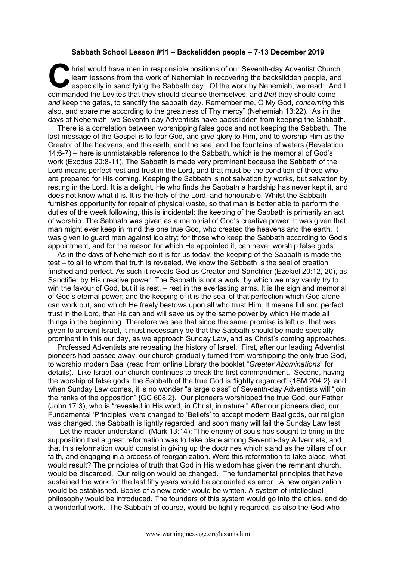## **Sabbath School Lesson #11 – Backslidden people – 7-13 December 2019**

hrist would have men in responsible positions of our Seventh-day Adventist Church learn lessons from the work of Nehemiah in recovering the backslidden people, and especially in sanctifying the Sabbath day. Of the work by learn lessons from the work of Nehemiah in recovering the backslidden people, and especially in sanctifying the Sabbath day. Of the work by Nehemiah, we read: "And I commanded the Levites that they should cleanse themselves, and *that* they should come *and* keep the gates, to sanctify the sabbath day. Remember me, O My God, *concerning* this also, and spare me according to the greatness of Thy mercy" (Nehemiah 13:22). As in the days of Nehemiah, we Seventh-day Adventists have backslidden from keeping the Sabbath.

There is a correlation between worshipping false gods and not keeping the Sabbath. The last message of the Gospel is to fear God, and give glory to Him, and to worship Him as the Creator of the heavens, and the earth, and the sea, and the fountains of waters (Revelation 14:6-7) – here is unmistakable reference to the Sabbath, which is the memorial of God's work (Exodus 20:8-11). The Sabbath is made very prominent because the Sabbath of the Lord means perfect rest and trust in the Lord, and that must be the condition of those who are prepared for His coming. Keeping the Sabbath is not salvation by works, but salvation by resting in the Lord. It is a delight. He who finds the Sabbath a hardship has never kept it, and does not know what it is. It is the holy of the Lord, and honourable. Whilst the Sabbath furnishes opportunity for repair of physical waste, so that man is better able to perform the duties of the week following, this is incidental; the keeping of the Sabbath is primarily an act of worship. The Sabbath was given as a memorial of God's creative power. It was given that man might ever keep in mind the one true God, who created the heavens and the earth. It was given to guard men against idolatry; for those who keep the Sabbath according to God's appointment, and for the reason for which He appointed it, can never worship false gods.

As in the days of Nehemiah so it is for us today, the keeping of the Sabbath is made the test – to all to whom that truth is revealed. We know the Sabbath is the seal of creation finished and perfect. As such it reveals God as Creator and Sanctifier (Ezekiel 20:12, 20), as Sanctifier by His creative power. The Sabbath is not a work, by which we may vainly try to win the favour of God, but it is rest, – rest in the everlasting arms. It is the sign and memorial of God's eternal power; and the keeping of it is the seal of that perfection which God alone can work out, and which He freely bestows upon all who trust Him. It means full and perfect trust in the Lord, that He can and will save us by the same power by which He made all things in the beginning. Therefore we see that since the same promise is left us, that was given to ancient Israel, it must necessarily be that the Sabbath should be made specially prominent in this our day, as we approach Sunday Law, and as Christ's coming approaches.

Professed Adventists are repeating the history of Israel. First, after our leading Adventist pioneers had passed away, our church gradually turned from worshipping the only true God, to worship modern Baal (read from online Library the booklet "*Greater Abominations*" for details). Like Israel, our church continues to break the first commandment. Second, having the worship of false gods, the Sabbath of the true God is "lightly regarded" {1SM 204.2}, and when Sunday Law comes, it is no wonder "a large class" of Seventh-day Adventists will "join the ranks of the opposition" {GC 608.2}. Our pioneers worshipped the true God, our Father (John 17:3), who is "revealed in His word, in Christ, in nature." After our pioneers died, our Fundamental 'Principles' were changed to 'Beliefs' to accept modern Baal gods, our religion was changed, the Sabbath is lightly regarded, and soon many will fail the Sunday Law test.

"Let the reader understand" (Mark 13:14): "The enemy of souls has sought to bring in the supposition that a great reformation was to take place among Seventh-day Adventists, and that this reformation would consist in giving up the doctrines which stand as the pillars of our faith, and engaging in a process of reorganization. Were this reformation to take place, what would result? The principles of truth that God in His wisdom has given the remnant church, would be discarded. Our religion would be changed. The fundamental principles that have sustained the work for the last fifty years would be accounted as error. A new organization would be established. Books of a new order would be written. A system of intellectual philosophy would be introduced. The founders of this system would go into the cities, and do a wonderful work. The Sabbath of course, would be lightly regarded, as also the God who